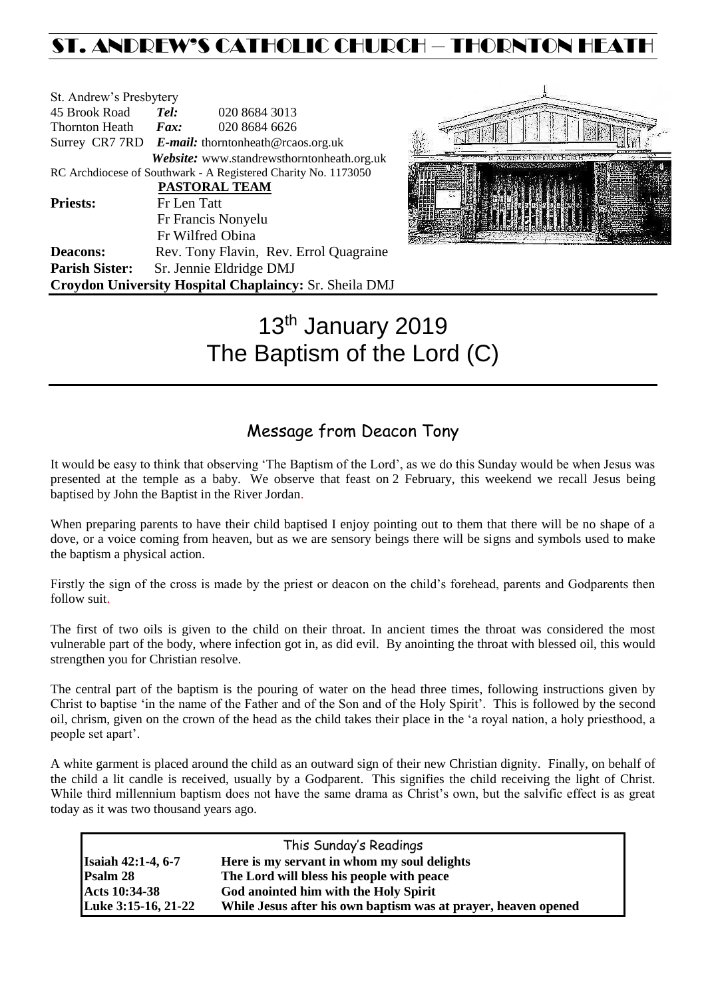# ST. ANDREW'S CATHOLIC CHURCH – THORNTON HEAT

| St. Andrew's Presbytery                                |                                                   |                                                                |  |  |
|--------------------------------------------------------|---------------------------------------------------|----------------------------------------------------------------|--|--|
| 45 Brook Road                                          | Tel:                                              | 020 8684 3013                                                  |  |  |
| <b>Thornton Heath</b>                                  | Fax:                                              | 020 8684 6626                                                  |  |  |
|                                                        | Surrey CR7 7RD E-mail: thorntonheath@rcaos.org.uk |                                                                |  |  |
|                                                        |                                                   | Website: www.standrewsthorntonheath.org.uk                     |  |  |
|                                                        |                                                   | RC Archdiocese of Southwark - A Registered Charity No. 1173050 |  |  |
|                                                        |                                                   | PASTORAL TEAM                                                  |  |  |
| <b>Priests:</b>                                        | Fr Len Tatt                                       |                                                                |  |  |
|                                                        |                                                   | Fr Francis Nonyelu                                             |  |  |
|                                                        |                                                   | Fr Wilfred Obina                                               |  |  |
| <b>Deacons:</b>                                        |                                                   | Rev. Tony Flavin, Rev. Errol Quagraine                         |  |  |
| <b>Parish Sister:</b>                                  |                                                   | Sr. Jennie Eldridge DMJ                                        |  |  |
| Croydon University Hospital Chaplaincy: Sr. Sheila DMJ |                                                   |                                                                |  |  |



# 13<sup>th</sup> January 2019 The Baptism of the Lord (C)

### Message from Deacon Tony

It would be easy to think that observing 'The Baptism of the Lord', as we do this Sunday would be when Jesus was presented at the temple as a baby. We observe that feast on 2 February, this weekend we recall Jesus being baptised by John the Baptist in the River Jordan.

When preparing parents to have their child baptised I enjoy pointing out to them that there will be no shape of a dove, or a voice coming from heaven, but as we are sensory beings there will be signs and symbols used to make the baptism a physical action.

Firstly the sign of the cross is made by the priest or deacon on the child's forehead, parents and Godparents then follow suit.

The first of two oils is given to the child on their throat. In ancient times the throat was considered the most vulnerable part of the body, where infection got in, as did evil. By anointing the throat with blessed oil, this would strengthen you for Christian resolve.

The central part of the baptism is the pouring of water on the head three times, following instructions given by Christ to baptise 'in the name of the Father and of the Son and of the Holy Spirit'. This is followed by the second oil, chrism, given on the crown of the head as the child takes their place in the 'a royal nation, a holy priesthood, a people set apart'.

A white garment is placed around the child as an outward sign of their new Christian dignity. Finally, on behalf of the child a lit candle is received, usually by a Godparent. This signifies the child receiving the light of Christ. While third millennium baptism does not have the same drama as Christ's own, but the salvific effect is as great today as it was two thousand years ago.

| This Sunday's Readings    |                                                                |  |  |  |
|---------------------------|----------------------------------------------------------------|--|--|--|
| <b>Isaiah 42:1-4, 6-7</b> | Here is my servant in whom my soul delights                    |  |  |  |
| Psalm 28                  | The Lord will bless his people with peace                      |  |  |  |
| Acts 10:34-38             | God anointed him with the Holy Spirit                          |  |  |  |
| Luke 3:15-16, 21-22       | While Jesus after his own baptism was at prayer, heaven opened |  |  |  |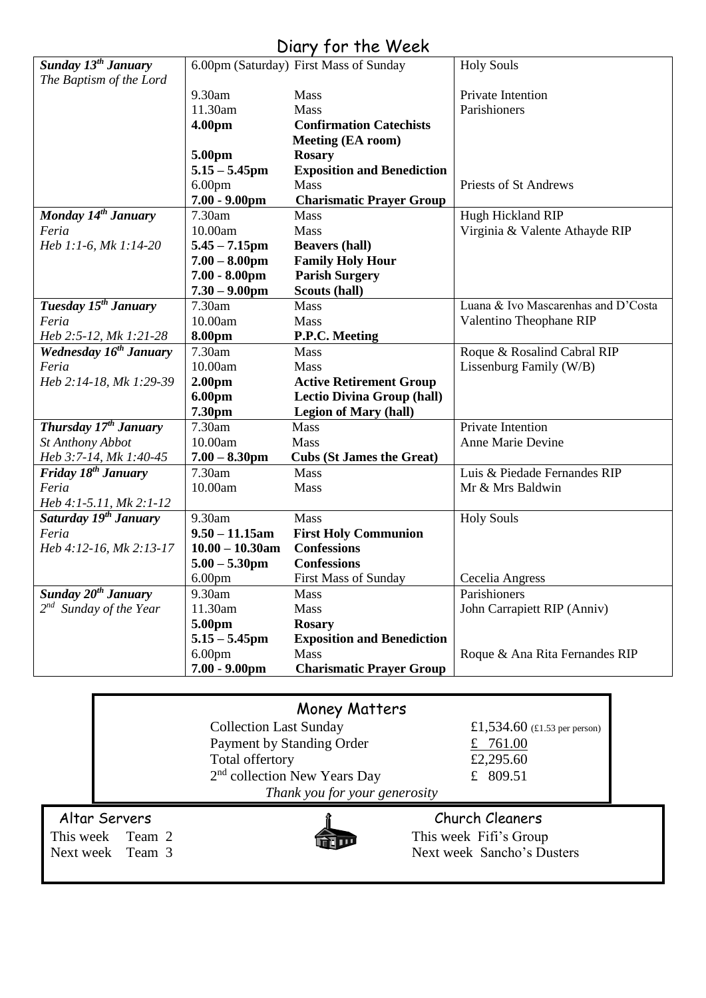## Diary for the Week

| Sunday 13 <sup>th</sup> January    |                              | 6.00pm (Saturday) First Mass of Sunday            | <b>Holy Souls</b>                   |  |
|------------------------------------|------------------------------|---------------------------------------------------|-------------------------------------|--|
| The Baptism of the Lord            |                              |                                                   |                                     |  |
|                                    | 9.30am                       | Mass                                              | Private Intention                   |  |
|                                    | 11.30am                      | Mass                                              | Parishioners                        |  |
|                                    | 4.00pm                       | <b>Confirmation Catechists</b>                    |                                     |  |
|                                    |                              | <b>Meeting (EA room)</b>                          |                                     |  |
|                                    | 5.00pm                       | <b>Rosary</b>                                     |                                     |  |
|                                    | $5.15 - 5.45$ pm             | <b>Exposition and Benediction</b>                 |                                     |  |
|                                    | 6.00 <sub>pm</sub>           | <b>Mass</b>                                       | Priests of St Andrews               |  |
|                                    | $7.00 - 9.00$ pm             | <b>Charismatic Prayer Group</b>                   |                                     |  |
| Monday 14 <sup>th</sup> January    | 7.30am                       | <b>Mass</b>                                       | Hugh Hickland RIP                   |  |
| Feria                              | 10.00am                      | Mass                                              | Virginia & Valente Athayde RIP      |  |
| Heb 1:1-6, Mk 1:14-20              | $5.45 - 7.15$ pm             | <b>Beavers (hall)</b>                             |                                     |  |
|                                    | $7.00 - 8.00$ pm             | <b>Family Holy Hour</b>                           |                                     |  |
|                                    | $7.00 - 8.00$ pm             | <b>Parish Surgery</b>                             |                                     |  |
|                                    | $7.30 - 9.00$ pm             | Scouts (hall)                                     |                                     |  |
| Tuesday 15 <sup>th</sup> January   | 7.30am                       | <b>Mass</b>                                       | Luana & Ivo Mascarenhas and D'Costa |  |
| Feria                              | 10.00am                      | <b>Mass</b>                                       | Valentino Theophane RIP             |  |
| Heb 2:5-12, Mk 1:21-28             | 8.00pm                       | P.P.C. Meeting                                    |                                     |  |
| Wednesday 16 <sup>th</sup> January | 7.30am                       | <b>Mass</b>                                       | Roque & Rosalind Cabral RIP         |  |
| Feria                              | 10.00am                      | Mass                                              | Lissenburg Family (W/B)             |  |
| Heb 2:14-18, Mk 1:29-39            | 2.00 <sub>pm</sub>           | <b>Active Retirement Group</b>                    |                                     |  |
|                                    | 6.00pm                       | <b>Lectio Divina Group (hall)</b>                 |                                     |  |
|                                    | 7.30pm                       | <b>Legion of Mary (hall)</b>                      |                                     |  |
| Thursday 17 <sup>th</sup> January  | 7.30am                       | <b>Mass</b>                                       | Private Intention                   |  |
| St Anthony Abbot                   | 10.00am                      | Mass                                              | Anne Marie Devine                   |  |
| Heb 3:7-14, Mk 1:40-45             | $7.00 - 8.30$ pm             | <b>Cubs (St James the Great)</b>                  |                                     |  |
| Friday 18 <sup>th</sup> January    | 7.30am                       | Mass                                              | Luis & Piedade Fernandes RIP        |  |
| Feria                              | 10.00am                      | Mass                                              | Mr & Mrs Baldwin                    |  |
| Heb 4:1-5.11, Mk 2:1-12            |                              |                                                   |                                     |  |
| Saturday 19 <sup>th</sup> January  | 9.30am<br>$9.50 - 11.15$ am  | <b>Mass</b>                                       | <b>Holy Souls</b>                   |  |
| Feria                              | $10.00 - 10.30$ am           | <b>First Holy Communion</b><br><b>Confessions</b> |                                     |  |
| Heb 4:12-16, Mk 2:13-17            | $5.00 - 5.30$ pm             | <b>Confessions</b>                                |                                     |  |
|                                    |                              | <b>First Mass of Sunday</b>                       | Cecelia Angress                     |  |
| Sunday $20th$ January              | 6.00 <sub>pm</sub><br>9.30am |                                                   | Parishioners                        |  |
| 2 <sup>nd</sup> Sunday of the Year | 11.30am                      | <b>Mass</b><br><b>Mass</b>                        | John Carrapiett RIP (Anniv)         |  |
|                                    | 5.00pm                       | <b>Rosary</b>                                     |                                     |  |
|                                    | $5.15 - 5.45$ pm             | <b>Exposition and Benediction</b>                 |                                     |  |
|                                    | 6.00 <sub>pm</sub>           | <b>Mass</b>                                       | Roque & Ana Rita Fernandes RIP      |  |
|                                    | $7.00 - 9.00$ pm             | <b>Charismatic Prayer Group</b>                   |                                     |  |
|                                    |                              |                                                   |                                     |  |
|                                    |                              |                                                   |                                     |  |

|                      | Money Matters                            |                                                           |  |
|----------------------|------------------------------------------|-----------------------------------------------------------|--|
|                      | <b>Collection Last Sunday</b>            | £1,534.60 $(\text{\textsterling}1.53 \text{ per person})$ |  |
|                      | Payment by Standing Order                | £ 761.00                                                  |  |
|                      | Total offertory                          | £2,295.60                                                 |  |
|                      | 2 <sup>nd</sup> collection New Years Day | £ $809.51$                                                |  |
|                      | Thank you for your generosity            |                                                           |  |
| <b>Iltar Servers</b> |                                          | Church Cleaners                                           |  |
| is week $T$ eam $2$  |                                          | This week Fifi's Group                                    |  |

Altar Servers<br>This week Team 2<br>Next week Team 3



 $\overrightarrow{P}$  This week Fifi's Group Next week Sancho's Dusters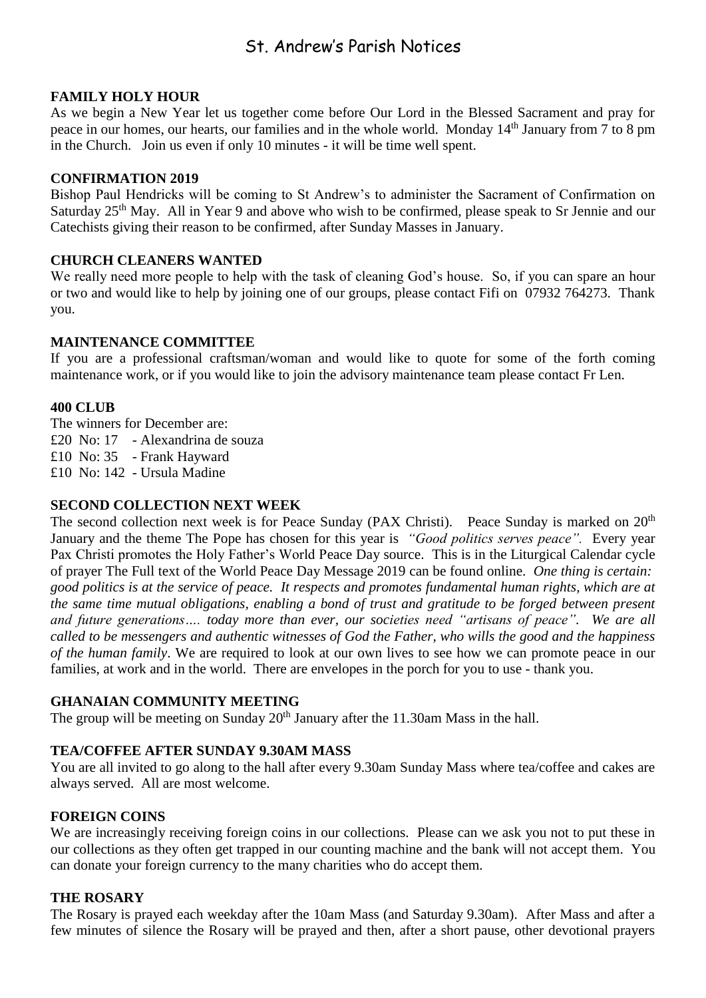### St. Andrew's Parish Notices

#### **FAMILY HOLY HOUR**

As we begin a New Year let us together come before Our Lord in the Blessed Sacrament and pray for peace in our homes, our hearts, our families and in the whole world. Monday 14<sup>th</sup> January from 7 to 8 pm in the Church. Join us even if only 10 minutes - it will be time well spent.

#### **CONFIRMATION 2019**

Bishop Paul Hendricks will be coming to St Andrew's to administer the Sacrament of Confirmation on Saturday 25<sup>th</sup> May. All in Year 9 and above who wish to be confirmed, please speak to Sr Jennie and our Catechists giving their reason to be confirmed, after Sunday Masses in January.

#### **CHURCH CLEANERS WANTED**

We really need more people to help with the task of cleaning God's house. So, if you can spare an hour or two and would like to help by joining one of our groups, please contact Fifi on 07932 764273. Thank you.

#### **MAINTENANCE COMMITTEE**

If you are a professional craftsman/woman and would like to quote for some of the forth coming maintenance work, or if you would like to join the advisory maintenance team please contact Fr Len.

#### **400 CLUB**

The winners for December are:

£20 No: 17 - Alexandrina de souza

£10 No: 35 - Frank Hayward

£10 No: 142 - Ursula Madine

#### **SECOND COLLECTION NEXT WEEK**

The second collection next week is for Peace Sunday (PAX Christi). Peace Sunday is marked on 20<sup>th</sup> January and the theme The Pope has chosen for this year is *"Good politics serves peace".* Every year Pax Christi promotes the Holy Father's World Peace Day source. This is in the [Liturgical Calendar](http://www.liturgyoffice.org.uk/Calendar/Cycle/WinterCP.shtml) cycle of prayer The Full text of [the World Peace Day Message 2019](http://press.vatican.va/content/salastampa/en/bollettino/pubblico/2018/12/18/181218a.html) can be found online. *One thing is certain: good politics is at the service of peace. It respects and promotes fundamental human rights, which are at the same time mutual obligations, enabling a bond of trust and gratitude to be forged between present and future generations…. today more than ever, our societies need "artisans of peace". We are all called to be messengers and authentic witnesses of God the Father, who wills the good and the happiness of the human family*. We are required to look at our own lives to see how we can promote peace in our families, at work and in the world. There are envelopes in the porch for you to use - thank you.

#### **GHANAIAN COMMUNITY MEETING**

The group will be meeting on Sunday  $20<sup>th</sup>$  January after the 11.30am Mass in the hall.

#### **TEA/COFFEE AFTER SUNDAY 9.30AM MASS**

You are all invited to go along to the hall after every 9.30am Sunday Mass where tea/coffee and cakes are always served. All are most welcome.

#### **FOREIGN COINS**

We are increasingly receiving foreign coins in our collections. Please can we ask you not to put these in our collections as they often get trapped in our counting machine and the bank will not accept them. You can donate your foreign currency to the many charities who do accept them.

#### **THE ROSARY**

The Rosary is prayed each weekday after the 10am Mass (and Saturday 9.30am). After Mass and after a few minutes of silence the Rosary will be prayed and then, after a short pause, other devotional prayers